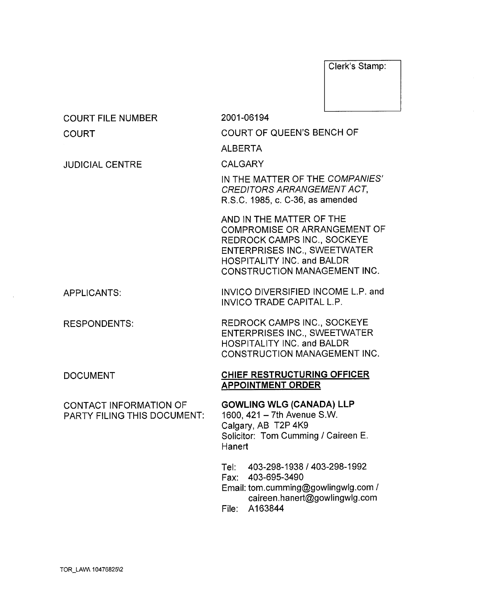Clerk's Stamp:

caireen.hanert@gowlingwlg.com

File: A163844

| <b>COURT FILE NUMBER</b>                                     | 2001-06194                                                                                                                                                                                                 |  |
|--------------------------------------------------------------|------------------------------------------------------------------------------------------------------------------------------------------------------------------------------------------------------------|--|
| COURT                                                        | COURT OF QUEEN'S BENCH OF                                                                                                                                                                                  |  |
|                                                              | <b>ALBERTA</b>                                                                                                                                                                                             |  |
| <b>JUDICIAL CENTRE</b>                                       | <b>CALGARY</b>                                                                                                                                                                                             |  |
|                                                              | IN THE MATTER OF THE COMPANIES'<br>CREDITORS ARRANGEMENT ACT,<br>R.S.C. 1985, c. C-36, as amended                                                                                                          |  |
|                                                              | AND IN THE MATTER OF THE<br><b>COMPROMISE OR ARRANGEMENT OF</b><br>REDROCK CAMPS INC., SOCKEYE<br><b>ENTERPRISES INC., SWEETWATER</b><br>HOSPITALITY INC. and BALDR<br><b>CONSTRUCTION MANAGEMENT INC.</b> |  |
| <b>APPLICANTS:</b>                                           | INVICO DIVERSIFIED INCOME L.P. and<br>INVICO TRADE CAPITAL L.P.                                                                                                                                            |  |
| <b>RESPONDENTS:</b>                                          | REDROCK CAMPS INC., SOCKEYE<br><b>ENTERPRISES INC., SWEETWATER</b><br>HOSPITALITY INC. and BALDR<br><b>CONSTRUCTION MANAGEMENT INC.</b>                                                                    |  |
| <b>DOCUMENT</b>                                              | CHIEF RESTRUCTURING OFFICER<br><b>APPOINTMENT ORDER</b>                                                                                                                                                    |  |
| CONTACT INFORMATION OF<br><b>PARTY FILING THIS DOCUMENT:</b> | <b>GOWLING WLG (CANADA) LLP</b><br>1600, 421 - 7th Avenue S.W.<br>Calgary, AB T2P 4K9<br>Solicitor: Tom Cumming / Caireen E.<br>Hanert                                                                     |  |
|                                                              | Tel: 403-298-1938 / 403-298-1992<br>Fax: 403-695-3490<br>Email: tom.cumming@gowlingwlg.com /                                                                                                               |  |

 $\sim$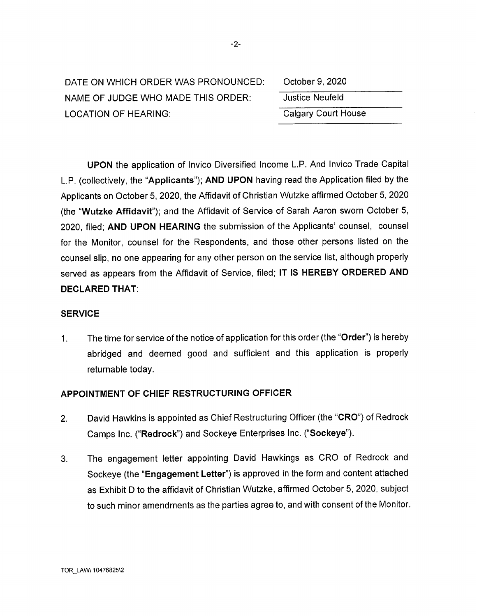| DATE ON WHICH ORDER WAS PRONOUNCED: |
|-------------------------------------|
| NAME OF JUDGE WHO MADE THIS ORDER:  |
| LOCATION OF HEARING:                |

| October 9, 2020            |  |
|----------------------------|--|
| <b>Justice Neufeld</b>     |  |
| <b>Calgary Court House</b> |  |

UPON the application of Invico Diversified Income L.P. And Invico Trade Capital L.P. (collectively, the "Applicants"); AND UPON having read the Application filed by the Applicants on October 5, 2020, the Affidavit of Christian Wutzke affirmed October 5, 2020 (the "Wutzke Affidavit"); and the Affidavit of Service of Sarah Aaron sworn October 5, 2020, filed; AND UPON HEARING the submission of the Applicants' counsel, counsel for the Monitor, counsel for the Respondents, and those other persons listed on the counsel slip, no one appearing for any other person on the service list, although properly served as appears from the Affidavit of Service, filed; IT IS HEREBY ORDERED AND DECLARED THAT:

## **SERVICE**

1. The time for service of the notice of application for this order (the "Order") is hereby abridged and deemed good and sufficient and this application is properly returnable today.

## APPOINTMENT OF CHIEF RESTRUCTURING OFFICER

- 2. David Hawkins is appointed as Chief Restructuring Officer (the "CRO") of Redrock Camps Inc. ("Redrock") and Sockeye Enterprises Inc. ("Sockeye").
- 3. The engagement letter appointing David Hawkings as CRO of Redrock and Sockeye (the "Engagement Letter") is approved in the form and content attached as Exhibit D to the affidavit of Christian Wutzke, affirmed October 5, 2020, subject to such minor amendments as the parties agree to, and with consent of the Monitor.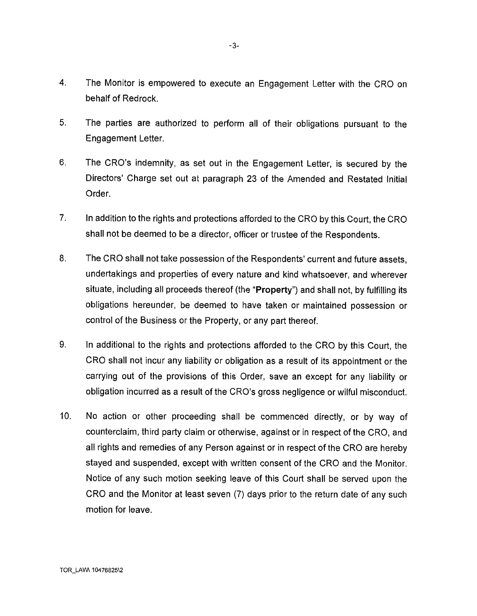- 4. The Monitor is empowered to execute an Engagement Letter with the CRO on behalf of Redrock.
- 5. The parties are authorized to perform all of their obligations pursuant to the Engagement Letter.
- 6. The CRO's indemnity, as set out in the Engagement Letter, is secured by the Directors' Charge set out at paragraph 23 of the Amended and Restated Initial Order.
- 7. In addition to the rights and protections afforded to the CRO by this Court, the CRO shall not be deemed to be a director, officer or trustee of the Respondents.
- 8. The CRO shall not take possession of the Respondents' current and future assets, undertakings and properties of every nature and kind whatsoever, and wherever situate, including all proceeds thereof (the "Property") and shall not, by fulfilling its obligations hereunder, be deemed to have taken or maintained possession or control of the Business or the Property, or any part thereof.
- 9. In additional to the rights and protections afforded to the CRO by this Court, the CRO shall not incur any liability or obligation as a result of its appointment or the carrying out of the provisions of this Order, save an except for any liability or obligation incurred as a result of the CRO's gross negligence or wilful misconduct.
- 10. No action or other proceeding shall be commenced directly, or by way of counterclaim, third party claim or otherwise, against or in respect of the CRO, and all rights and remedies of any Person against or in respect of the CRO are hereby stayed and suspended, except with written consent of the CRO and the Monitor. Notice of any such motion seeking leave of this Court shall be served upon the CRO and the Monitor at least seven (7) days prior to the return date of any such motion for leave.